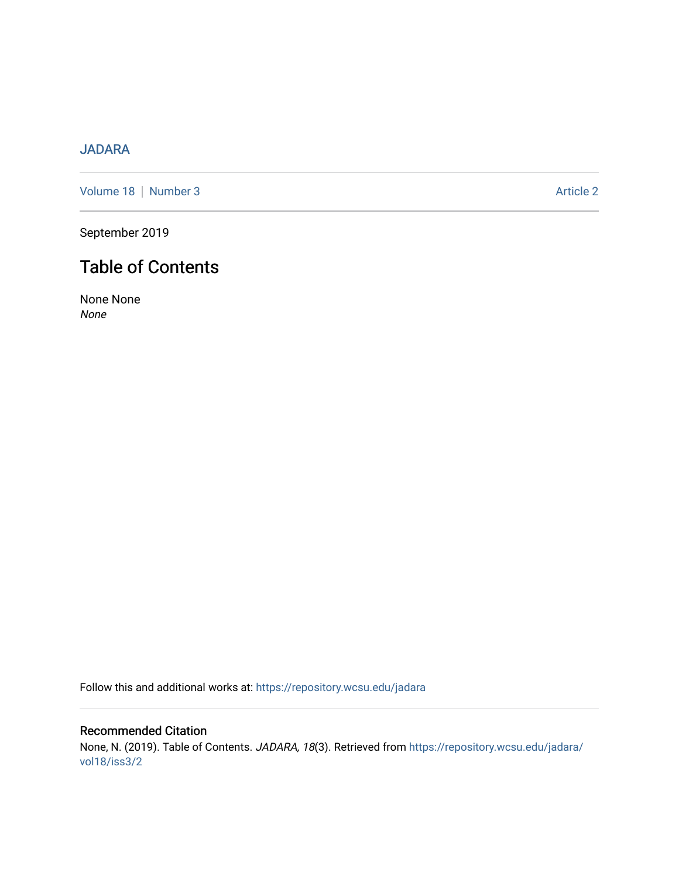# [JADARA](https://repository.wcsu.edu/jadara)

[Volume 18](https://repository.wcsu.edu/jadara/vol18) | [Number 3](https://repository.wcsu.edu/jadara/vol18/iss3) Article 2

September 2019

# Table of Contents

None None None

Follow this and additional works at: [https://repository.wcsu.edu/jadara](https://repository.wcsu.edu/jadara?utm_source=repository.wcsu.edu%2Fjadara%2Fvol18%2Fiss3%2F2&utm_medium=PDF&utm_campaign=PDFCoverPages)

Recommended Citation None, N. (2019). Table of Contents. JADARA, 18(3). Retrieved from [https://repository.wcsu.edu/jadara/](https://repository.wcsu.edu/jadara/vol18/iss3/2?utm_source=repository.wcsu.edu%2Fjadara%2Fvol18%2Fiss3%2F2&utm_medium=PDF&utm_campaign=PDFCoverPages) [vol18/iss3/2](https://repository.wcsu.edu/jadara/vol18/iss3/2?utm_source=repository.wcsu.edu%2Fjadara%2Fvol18%2Fiss3%2F2&utm_medium=PDF&utm_campaign=PDFCoverPages)